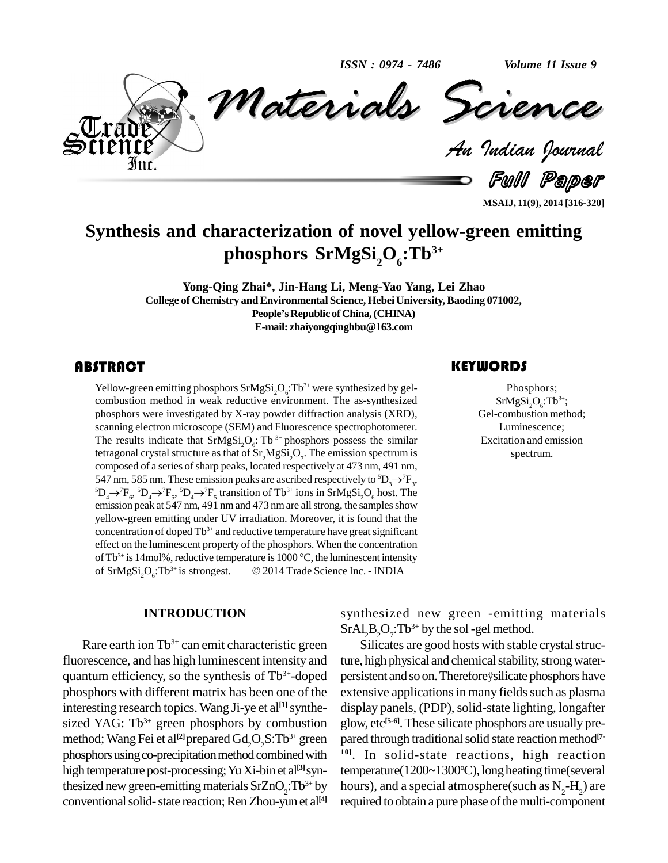*ISSN : 0974 - 7486*

*Volume 11 Issue 9*



*Materials Science Materials Science Indian Journal*

Full Paper

**MSAIJ, 11(9), 2014 [316-320]**

# **Synthesis and characterization of novel yellow-green emitting phosphors SrMgSi2O6:Tb 3+**

**Yong-Qing Zhai\*, Jin-Hang Li, Meng-Yao Yang, Lei Zhao**<br>of Chemistry and Environmental Science, Hebei University, Baoding 071002,<br>People's Republic of China, (CHINA) **College of Chemistry andEnvironmental Science, Hebei University,Baoding 071002, E-mail: [zhaiyongqinghbu@163.com](mailto:zhaiyongqinghbu@163.com)**

Yellow-green emitting phosphors  $SrMgSi<sub>2</sub>O<sub>6</sub>:Tb<sup>3+</sup>$  were synthesized by gel-<br>combustion method in weak reductive environment. The as-synthesized  $SrMgSi<sub>2</sub>O<sub>6</sub>:Tb<sup>3+</sup>$ ;<br>phosphors were investigated by X-ra Yellow-green emitting phosphors  $SrMgSi<sub>2</sub>O<sub>6</sub>:Tb<sup>3+</sup>$  were synthesized by gelcombustion method in weak reductive environment. The as-synthesized phosphors were investigated by X-ray powder diffraction analysis (XRD), scanning electron microscope (SEM) and Fluorescence spectrophotometer. The results indicate that  $SrMgSi<sub>2</sub>O<sub>6</sub>$ : Tb<sup>3+</sup> phosphors possess the similar tetragonal crystal structure as that of  $Sr_2MgSi_2O_7$ . The emission spectrum is composed of a series of sharp peaks, located respectively at 473 nm, 491 nm, 547 nm, 585 nm. These emission peaks are ascribed respectively t composed of a series of sharp peaks, located respectively at 473 nm, 491 nm, 547 nm, 585 nm. These emission peaks are ascribed respectively to  ${}^5D_3 \rightarrow {}^7F_3$ , composed of a series of sharp peaks, located respectively at 473 nm, 491 nm, 547 nm, 585 nm. These emission peaks are ascribed respectively to  ${}^5D_3 \rightarrow {}^7F_3$ ,  ${}^5D_4 \rightarrow {}^7F_5$ ,  ${}^5D_4 \rightarrow {}^7F_5$ ,  ${}^5D_4 \rightarrow {}^7F_5$ ,  ${}^5D_$ emission peak at 547 nm, 491 nm and 473 nm are all strong, the samples show yellow-green emitting under UV irradiation. Moreover, it is found that the  $\alpha$  concentration of doped  $\text{Th}^{3+}$  and reductive temperature have great significant effect on the luminescent property of the phosphors. When the concentration of  $\text{Tb}^{3+}$  is  $14\text{mc}$ tration of doped Tb<sup>3+</sup> and reductive temperature have great significant<br>in the luminescent property of the phosphors. When the concentration<br>is 14mol%, reductive temperature is 1000 °C, the luminescent intensity of  $SrMgSi<sub>2</sub>O<sub>6</sub>:Tb<sup>3+</sup>$  is stron scent property of the phosphors. When the concentration<br>eductive temperature is 1000 °C, the luminescent intensity<br>is strongest. © 2014 Trade Science Inc. - INDIA

#### **INTRODUCTION**

Rare earth ion  $Tb^{3+}$  can emit characteristic green Sil fluorescence, and has high luminescent intensity and quantum efficiency, so the synthesis of  $Tb^{3+}$ -doped persiste phosphors with different matrix has been one of the interesting research topics. Wang Ji-ye et al<sup>[1]</sup> synthe- disp sized YAG:  $Tb^{3+}$  green phosphors by combustion glow, e method; Wang Fei et al<sup>[2]</sup> prepared  $Gd_2O_2S$ : Tb<sup>3+</sup> green pared the phosphors using co-precipitation method combined with high temperature post-processing;YuXi-bin et al **[3]**synthesized new green-emitting materials  $SrZnO<sub>2</sub>:Tb<sup>3+</sup> by$  ho conventional solid-state reaction; Ren Zhou-yun et al<sup>[4]</sup> r

synthesized new green -emitting materials  $SrAl<sub>2</sub>B<sub>2</sub>O<sub>7</sub>: Tb<sup>3+</sup> by the sol-gel method.$ 

<sup>3+</sup> by hours), and a special atmosphere(such as  $N_2-H_2$ ) are Silicates are good hosts with stable crystal structure, high physical and chemical stability, strong waterpersistent and so on. Therefore ysilicate phosphors have extensive applications in many fields such as plasma display panels, (PDP), solid-state lighting, longafter glow, etc **[5-6]**.These silicate phosphors are usually pre pared through traditional solid state reaction method<sup>[7-</sup> **10]**. In solid-state reactions, high reaction temperature(1200~1300°C), long heating time(several required to obtain a pure phase of the multi-component

**KEYWORDS** 

Phosphors;  $SrMgSi<sub>2</sub>O<sub>6</sub>:Tb<sup>3+</sup>;$ Gel-combustion method; Luminescence; Excitation and emission spectrum.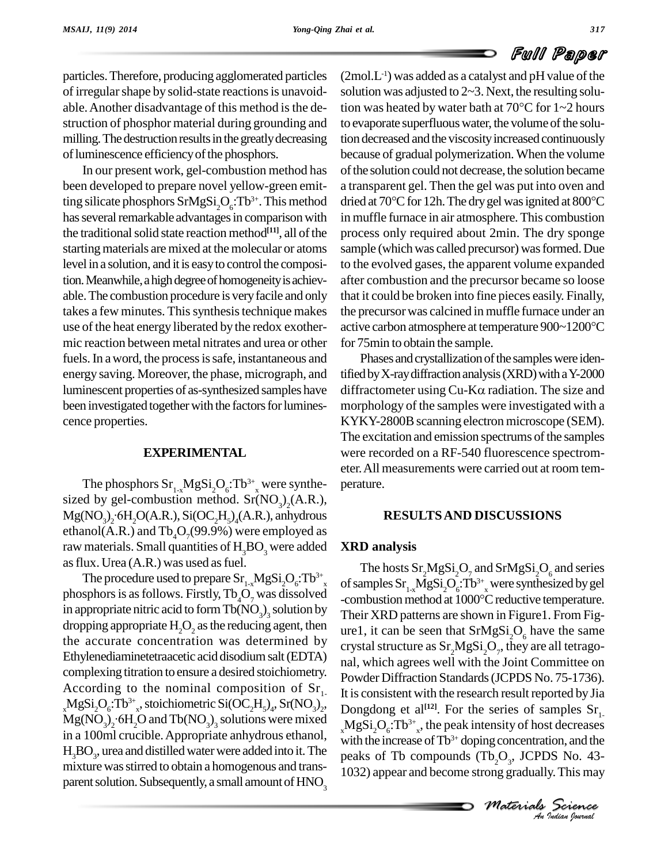## Full Paper

particles.Therefore, producing agglomerated particles of irregular shape by solid-state reactions is unavoidable. Another disadvantage of this method is the destruction of phosphor material during grounding and milling. The destruction results in the greatly decreasing of luminescence efficiency of the phosphors.

In our present work, gel-combustion method has been developed to prepare novel yellow-green emitting silicate phosphors  $SrMgSi<sub>2</sub>O<sub>6</sub>:Tb<sup>3+</sup>$ . This method dried at has several remarkable advantages in comparison with the traditional solid state reaction method $[11]$ , all of the proce starting materials are mixed at the molecular or atoms level in a solution, and it is easy to control the composition. Meanwhile, a high degree of homogeneity is achievable.The combustion procedure is veryfacile and only takes a few minutes. This synthesis technique makes use of the heat energy liberated by the redox exother- active carbon atmosphere at temperature  $900 \sim 1200 \degree C$ mic reaction between metal nitrates and urea or other fuels. In a word, the process is safe, instantaneous and energy saving. Moreover, the phase, micrograph, and luminescent properties of as-synthesized samples have diffractometer using  $Cu-K\alpha$  radiation. The size and been investigated together with the factors for luminescence properties.

### **EXPERIMENTAL**

The phosphors  $Sr_{1-x}MgSi_2O_6: Tb^{3+}$ , were synthe-<br>sized by gel-combustion method.  $Sr(NO_3)_2(A.R.),$ sized by gel-combustion method.  $Sr(NO<sub>3</sub>)<sub>2</sub>(A.R.),$ <br>Mg(NO<sub>3</sub>)<sub>2</sub>·6H<sub>2</sub>O(A.R.), Si(OC<sub>2</sub>H<sub>5</sub>)<sub>4</sub>(A.R.), anhydrous ethanol(A.R.) and  $\text{Tb}_{4}O_{7}(99.9\%)$  were employed as raw materials. Small quantities of  $H_3BO_3$  were added as flux. Urea  $(A.R.)$  was used as fuel.

The procedure used to prepare  $\text{Sr}_{1-x}\text{MgSi}_2\text{O}_6$ :Tb<sup>3+</sup><sub>x</sub> of sa phosphors is as follows. Firstly,  $Tb_4O_7$  was dissolved<br>combustion method at  $1000^{\circ}$ C reductive temperature. in appropriate nitric acid to form  $Tb(NO<sub>3</sub>)<sub>3</sub>$  solution by Their  $\bar{X}$ dropping appropriate  $H<sub>2</sub>O<sub>2</sub>$  as the reducing agent, then the accurate concentration was determined by Ethylenediaminetetraacetic acid disodiumsalt(EDTA) complexing titration to ensure a desired stoichiometry. According to the nominal composition of  $Sr<sub>1</sub>$   $_{\rm Hi}$  $_{\rm x}$ MgSi<sub>2</sub>O<sub>6</sub>:Tb<sup>3+</sup><sub>x</sub>, stoichiometric Si(OC<sub>2</sub>H<sub>5</sub>)<sub>4</sub>, Sr(NO<sub>3</sub>)<sub>2</sub>, D<sub>0</sub>  $Mg(NO_3)_2$  6H<sub>2</sub>O and Tb(NO<sub>3</sub>)<sub>3</sub> solutions were mixed MgSi in a 100ml crucible.Appropriate anhydrous ethanol,  $H_3BO_3$ , urea and distilled water were added into it. The peaks mixture wasstirred to obtain a homogenous and trans parent solution. Subsequently, a small amount of  $HNO<sub>3</sub>$ 

 $(2 \text{mol} . \text{L}^{-1})$  was added as a catalyst and pH value of the solution was adjusted to  $2\neg 3$ . Next, the resulting solution was heated by water bath at  $70^{\circ}$ C for  $1 - 2$  hours to evaporate superfluous water, the volume of the solution decreased and the viscosityincreased continuously because of gradual polymerization. When the volume of the solution could not decrease, the solution became<br>a transparent gel. Then the gel was put into oven and<br>dried at 70°C for 12h. The dry gel was ignited at 800°C a transparent gel. Then the gel was put into oven and in muffle furnace in air atmosphere. This combustion process only required about 2min. The dry sponge sample (which was called precursor) was formed. Due to the evolved gases, the apparent volume expanded after combustion and the precursor became so loose that it could be broken into fine pieces easily. Finally,<br>the precursor was calcined in muffle furnace under an<br>active carbon atmosphere at temperature 900~1200°C the precursorwas calcined in muffle furnace under an for 75min to obtain the sample.

Phases and crystallization of the samples were identified by X-ray diffraction analysis (XRD) with a Y-2000 Phases and crystallization of the samples were iden-<br>tified by X-ray diffraction analysis (XRD) with a Y-2000<br>diffractometer using Cu-K $\alpha$  radiation. The size and morphology of the samples were investigated with a KYKY-2800B scanning electron microscope (SEM). The excitation and emission spectrums of the samples were recorded on a RF-540 fluorescence spectrom eter.All measurements were carried out at room tem perature.

#### **RESULTSAND DISCUSSIONS**

#### **XRD analysis**

*M Indian M M Indian*<br>*M I*<sub>2</sub>O<sub>3</sub>, JCPDS No. 43-<br>*Materials Science*<br>*Materials Science*  $_{\rm x}$ MgSi<sub>2</sub>O<sub>6</sub>:Tb<sup>3+</sup><sub>x</sub>, the peak intensity of host decreases <sup>1</sup>- It is consistent with the research result reported by Jia  $\frac{2}{4}$  Dongdong et al<sup>[12]</sup>. For the series of samples  $\text{Sr}_{1}$ . The hosts  $\text{Sr}_{2}\text{MgSi}_{2}\text{O}_{7}$  and  $\text{SrMgSi}_{2}\text{O}_{6}$  and series of samples  $\rm Sr_{1-x}MgSi_2O_6$ : $\rm Tb^{3+}{}_{x}$  were sy The hosts  $Sr_2MgSi_2O_2$  and  $SrMgSi_2O_6$  and series<br>of samples  $Sr_{1-x}MgSi_2O_6$ :  $Tb^{3+}$  were synthesized by gel<br>-combustion method at 1000°C reductive temperature. Their XRD patterns are shown in Figure1. From Fig ure1, it can be seen that  $SrMgSi<sub>2</sub>O<sub>6</sub>$  have the same crystal structure as  $\rm Sr_2MgSi_2O_\gamma$ , they are all tetragonal, which agrees well with the Joint Committee on Powder Diffraction Standards(JCPDS No. 75-1736). with the increase of  $Tb^{3+}$  doping concentration, and the peaks of Tb compounds  $(Tb_2O_3, JCPDS$  No. 43-1032) appear and become strong gradually.This may

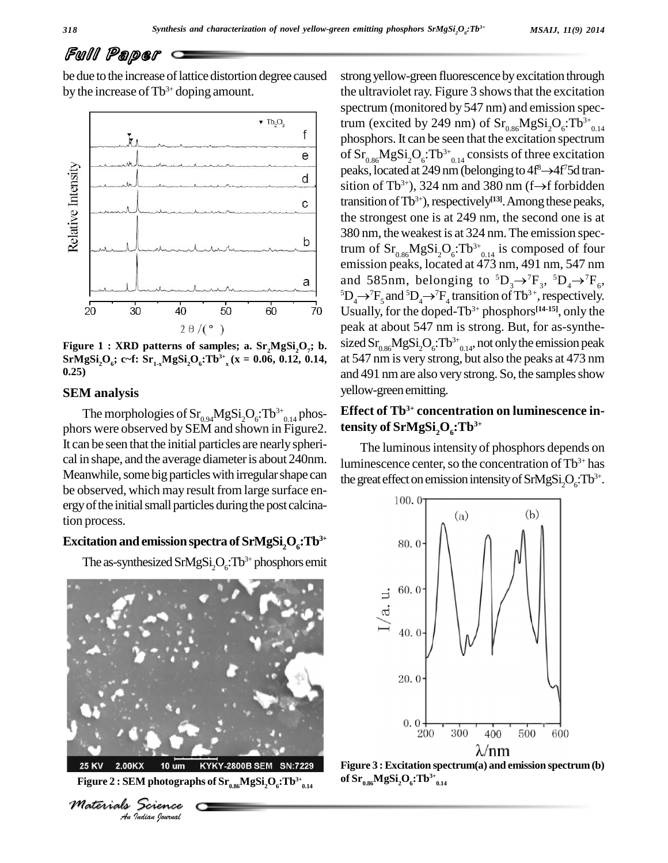# Full Paper

be due to the increase of lattice distortion degree caused by the increase of  $Tb^{3+}$  doping amount.



**Figure 1 : XRD patterns of samples; a. Sr** Figure 1 : XRD patterns of samples; a.  $Sr_2MgSi_2O_2$ ; b. SI<br>SrMgSi<sub>2</sub>O<sub>6</sub>; c~f:  $Sr_{1-x}MgSi_2O_6$ : Tb<sup>3+</sup><sub>x</sub>(x = 0.06, 0.12, 0.14, a<br>0.25)

#### **SEM analysis**

The morphologies of  $Sr_{0.94}MgSi<sub>2</sub>O<sub>6</sub>: Tb<sup>3+</sup><sub>0.14</sub> phos-  
phors were observed by SEM and shown in Figure2. **ten**:$ It can be seen that the initial particles are nearly spherical in shape, and the average diameteris about 240nm. Meanwhile, some big particles with irregular shape can be observed, which may result from large surface en ergy of the initial small particles during the post calcination process.

### $\mathbf{Excitation}$  and <code>emission</code> spectra of  $\mathbf{SrMgSi}_2\mathbf{O}_6$ :Tb $^{3+}$

The as-synthesized SrMgSi<sub>2</sub>O<sub>6</sub>:Tb<sup>3+</sup> phosphors emit



**25 KV**  $\mathbf{Figure\ 2: SEM\ photographs\ of\ Sr_{_{0.86}}\ MgSi{{}_2O}{_6}{:}\textrm{TD}^{3+}_{_{0.14}}$ 



strong yellow-green fluorescence by excitation through the ultraviolet ray. Figure 3 showsthat the excitation spectrum (monitored by 547 nm) and emission spectrum (excited by 249 nm) of  $\text{Sr}_{0.86}\text{MgSi}_2\text{O}_6$ :Tb<sup>3+</sup><sub>0.14</sub> phosphors. It can be seen that the excitation spectrum of  $\text{Sr}_{0.86}\text{MgSi}_2\text{O}_6$ : $\text{Tb}^{3+}$ <sub>0.14</sub> consists of three excitation peaks, located at 249 nm (belonging to  $4f^8 \rightarrow 4f^75d$  trantion spectrui<br>ree excitatic<br><sup>8</sup> ->4f<sup>7</sup>5d trai sition of Tb<sup>3+</sup>), 324 nm and 380 nm (f $\rightarrow$ f forbidden  $Si_2O_6$ : $Tb^{3+}$ <sub>0.14</sub> consists of three excitation<br>d at 249 nm (belonging to 4f<sup>8</sup> $\rightarrow$ 4f<sup>7</sup>5d tran-<br><sup>3+</sup>), 324 nm and 380 nm (f $\rightarrow$ f forbidden transition of Tb<sup>3+</sup>), respectively<sup>[13]</sup>. Among these peaks, the strongest one is at 249 nm, the second one is at 380 nm, theweakest is at 324 nm.The emission spectrum of  $Sr_{0.86}MgSi<sub>2</sub>O<sub>6</sub>:Tb<sup>3+</sup><sub>0.14</sub>$  is composed of four<br>emission peaks, located at 473 nm, 491 nm, 547 nm<br>and 585nm, belonging to  ${}^{5}D_{3} \rightarrow {}^{7}F_{3}$ ,  ${}^{5}D_{4} \rightarrow {}^{7}F_{6}$ , emission peaks, located at 473 nm, 491 nm, 547 nm and 585nm, belonging to  ${}^5D_3 \rightarrow {}^7F_3$ ,  ${}^5D_4 \rightarrow {}^7F_6$ , emission peaks, located at 473 nm, 491 nm, 547 nm<br>and 585nm, belonging to  ${}^{5}D_{3} \rightarrow {}^{7}F_{3}$ ,  ${}^{5}D_{4} \rightarrow {}^{7}F_{6}$ ,<br> ${}^{5}D_{4} \rightarrow {}^{7}F_{5}$  and  ${}^{5}D_{4} \rightarrow {}^{7}F_{4}$  transition of Tb<sup>3+</sup>, respectively. Usually, for the doped-Tb 3+ phosphors **[14-15]**, only the peak at about 547 nm is strong. But, for as-synthesized  $\text{Sr}_{0.86}\text{MgSi}_2\text{O}_6$ :Tb<sup>3+</sup><sub>0.14</sub>, not only the emission peak at 547 nm is very strong, but also the peaks at 473 nm and 491 nm are also very strong. So, the samples show yellow-green emitting.

### **Effect of Tb 3+ concentration on luminescence intensity of SrMgSi2O6:Tb 3+**

The luminous intensity of phosphors depends on luminescence center, so the concentration of  $\text{Tb}^{3+}$  has the great effect on emission intensity of  $\text{SrMgSi}_2\text{O}_6$ :Tb<sup>3+</sup>.



**0.14 Figure <sup>3</sup> : Excitation spectrum(a) and emission spectrum (b) of Sr 0.86MgSi2O6:Tb 3+ 0.14**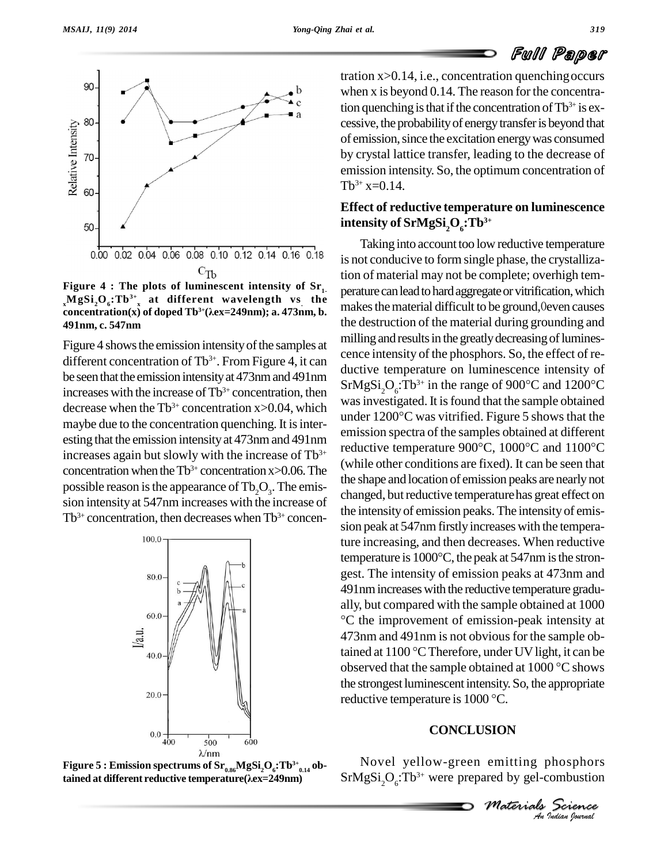



**Figure 4 : The plots of luminescent intensity of Sr**  $\sum_{x}^{x}MgSi_2O_6$ :Tb<sup>3+</sup><sub>x</sub> at different wavelength vs the making **concentration(x)** of doped  $\text{Th}^{3+}(\lambda \text{ex} = 249 \text{nm})$ ; a. 473nm, b. **3+**( $\lambda$ **e**x=249nm); **a.** 473nm, **b. 491nm, c. 547nm**

Figure 4 shows the emission intensity of the samples at different concentration of Tb<sup>3+</sup>. From Figure 4, it can be seen that the emission intensity at 473nm and 491nm increases with the increase of  $Tb^{3+}$  concentration, then decrease when the  $Tb^{3+}$  concentration x>0.04, which was in esting that the emission intensityat 473nmand 491nm increases again but slowly with the increase of  $\text{Th}^{3+}$ concentration when the  $Tb^{3+}$  concentration x>0.06. The  $\frac{WHH}{dt}$ possible reason is the appearance of  $Tb_2O_3$ . The emission intensity at 547nm increases with the increase of  $Tb^{3+}$  concentration, then decreases when  $Tb^{3+}$  concen-



**Figure 5**  $:$  <code>Emission</code> spectrums of  $\mathrm{Sr}_{_{0.86}}\mathrm{MgSi}_{2}\mathrm{O}_{_{6}}\mathrm{:} \mathrm{TD}^{3+}_{_{0.14}}$ ob- $\lambda$ /nm<br>**Figure 5 : Emission spectrums of Sr<sub>0.86</sub>MgSi<sub>2</sub>O<sub>6</sub>:Tb<sup>3+</sup><sub>0</sub><br>tained at different reductive temperature(** $\lambda$ **ex=249nm)** 

tration  $x > 0.14$ , i.e., concentration quenching occurs when x is beyond 0.14. The reason for the concentration quenching is that if the concentration of  $\text{Tb}^{3+}$  is excessive, the probability of energy transfer is beyond that of emission, since the excitation energy was consumed by crystal lattice transfer, leading to the decrease of emission intensity. So, the optimum concentration of  $Tb^{3+}x=0.14$ .

### **Effect of reductive temperature on luminescence intensity of SrMgSi2O6:Tb 3+**

maybe due to the concentration quenching. It is inter-<br> $\frac{\text{under 1200}^{\circ}\text{C}}{\text{under 1200}}$  was vitrified. Figure 5 shows that the under 1200°C was vitrified. Figure 5 shows that the<br>
emission spectra of the samples obtained at different<br>
reductive temperature 900°C, 1000°C and 1100°C Taking into account too low reductive temperature is not conducive to form single phase, the crystallization of material may not be complete; overhigh tem- <sup>1</sup>- perature can lead to hard aggregate or vitrification, which makes the material difficult to be ground,0even causes the destruction of the material during grounding and milling and results in the greatly decreasing of luminescence intensity of the phosphors. So, the effect of re ductive temperature on luminescence intensity of cence intensity of the phosphors. So, the effect of re-<br>ductive temperature on luminescence intensity of<br>SrMgSi<sub>2</sub>O<sub>6</sub>:Tb<sup>3+</sup> in the range of 900<sup>o</sup>C and 1200<sup>o</sup>C was investigated. It is found that the sample obtained SrMgSi<sub>2</sub>O<sub>6</sub>:Tb<sup>3+</sup> in the range of 900°C and 1200°C<br>was investigated. It is found that the sample obtained<br>under 1200°C was vitrified. Figure 5 shows that the emission spectra of the samples obtained at different (while other conditions are fixed). It can be seen that the shape and location of emission peaks are nearlynot changed, but reductive temperature has great effect on the intensityof emission peaks. The intensity of emis sion peak at 547nm firstly increases with the tempera-<br>ture increasing, and then decreases. When reductive<br>temperature is 1000°C, the peak at 547nm is the stronture increasing, and then decreases. When reductive gest. The intensity of emission peaks at 473nm and 491nmincreaseswith the reductive temperature gradu ally, but compared with the sample obtained at 1000 C the improvement of emission-peak intensity at 473nm and 491nm is not obvious for the sample ob-°C the improvement of emission-peak intensity at 473nm and 491nm is not obvious for the sample obtained at 1100 °C Therefore, under UV light, it can be 473nm and 491nm is not obvious for the sample obtained at 1100 °C Therefore, under UV light, it can be observed that the sample obtained at 1000 °C shows the strongest luminescentintensity. So, the appropriate observed that the sample obtained at  $1000 °C$  shows<br>the strongest luminescent intensity. So, the appropriate<br>reductive temperature is  $1000 °C$ .

### **CONCLUSION**

*SION*<br> *i* emitting phosphors<br> *Materials Science*<br> *An Judian Spormal* Novel yellow-green emitting phosphors  $SrMgSi<sub>2</sub>O<sub>6</sub>:Tb<sup>3+</sup>$  were prepared by gel-combustion